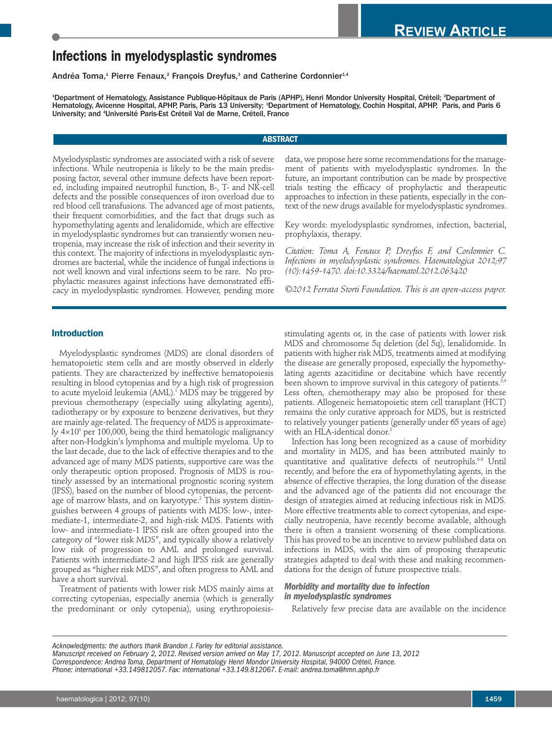# **Infections in myelodysplastic syndromes**

Andréa Toma,<sup>1</sup> Pierre Fenaux,<sup>2</sup> François Dreyfus,<sup>3</sup> and Catherine Cordonnier<sup>1,4</sup>

<sup>1</sup>Department of Hematology, Assistance Publique-Hôpitaux de Paris (APHP), Henri Mondor University Hospital, Créteil; <sup>2</sup>Department of Hematology, Avicenne Hospital, APHP, Paris, Paris 13 University; <sup>3</sup>Department of Hematology, Cochin Hospital, APHP, Paris, and Paris 6 University; and <sup>4</sup>Université Paris-Est Créteil Val de Marne, Créteil, France

# **ABSTRACT**

Myelodysplastic syndromes are associated with a risk of severe infections. While neutropenia is likely to be the main predisposing factor, several other immune defects have been reported, including impaired neutrophil function, B-, T- and NK-cell defects and the possible consequences of iron overload due to red blood cell transfusions. The advanced age of most patients, their frequent comorbidities, and the fact that drugs such as hypomethylating agents and lenalidomide, which are effective in myelodysplastic syndromes but can transiently worsen neutropenia, may increase the risk of infection and their severity in this context. The majority of infections in myelodysplastic syndromes are bacterial, while the incidence of fungal infections is not well known and viral infections seem to be rare. No prophylactic measures against infections have demonstrated efficacy in myelodysplastic syndromes. However, pending more

data, we propose here some recommendations for the management of patients with myelodysplastic syndromes. In the future, an important contribution can be made by prospective trials testing the efficacy of prophylactic and therapeutic approaches to infection in these patients, especially in the context of the new drugs available for myelodysplastic syndromes.

Key words: myelodysplastic syndromes, infection, bacterial, prophylaxis, therapy.

*Citation: Toma A, Fenaux P, Dreyfus F, and Cordonnier C. Infections in myelodysplastic syndromes. Haematologica 2012;97 (10):1459-1470. doi:10.3324/haematol.2012.063420*

*©2012 Ferrata Storti Foundation. This is an open-access paper.*

# **Introduction**

Myelodysplastic syndromes (MDS) are clonal disorders of hematopoietic stem cells and are mostly observed in elderly patients. They are characterized by ineffective hematopoiesis resulting in blood cytopenias and by a high risk of progression to acute myeloid leukemia (AML). <sup>1</sup> MDS may be triggered by previous chemotherapy (especially using alkylating agents), radiotherapy or by exposure to benzene derivatives, but they are mainly age-related. The frequency of MDS is approximately  $4\times10^3$  per 100,000, being the third hematologic malignancy after non-Hodgkin's lymphoma and multiple myeloma. Up to the last decade, due to the lack of effective therapies and to the advanced age of many MDS patients, supportive care was the only therapeutic option proposed. Prognosis of MDS is routinely assessed by an international prognostic scoring system (IPSS), based on the number of blood cytopenias, the percentage of marrow blasts, and on karyotype. <sup>2</sup> This system distinguishes between 4 groups of patients with MDS: low-, intermediate-1, intermediate-2, and high-risk MDS. Patients with low- and intermediate-1 IPSS risk are often grouped into the category of "lower risk MDS", and typically show a relatively low risk of progression to AML and prolonged survival. Patients with intermediate-2 and high IPSS risk are generally grouped as "higher risk MDS", and often progress to AML and have a short survival.

Treatment of patients with lower risk MDS mainly aims at correcting cytopenias, especially anemia (which is generally the predominant or only cytopenia), using erythropoiesisstimulating agents or, in the case of patients with lower risk MDS and chromosome 5q deletion (del 5q), lenalidomide. In patients with higher risk MDS, treatments aimed at modifying the disease are generally proposed, especially the hypomethylating agents azacitidine or decitabine which have recently been shown to improve survival in this category of patients. $^{\scriptscriptstyle 3,4}$ Less often, chemotherapy may also be proposed for these patients. Allogeneic hematopoietic stem cell transplant (HCT) remains the only curative approach for MDS, but is restricted to relatively younger patients (generally under 65 years of age) with an HLA-identical donor. 5

Infection has long been recognized as a cause of morbidity and mortality in MDS, and has been attributed mainly to quantitative and qualitative defects of neutrophils.<sup>68</sup> Until recently, and before the era of hypomethylating agents, in the absence of effective therapies, the long duration of the disease and the advanced age of the patients did not encourage the design of strategies aimed at reducing infectious risk in MDS. More effective treatments able to correct cytopenias, and especially neutropenia, have recently become available, although there is often a transient worsening of these complications. This has proved to be an incentive to review published data on infections in MDS, with the aim of proposing therapeutic strategies adapted to deal with these and making recommendations for the design of future prospective trials.

### *Morbidity and mortality due to infection in myelodysplastic syndromes*

Relatively few precise data are available on the incidence

*Acknowledgments: the authors thank Brandon J. Farley for editorial assistance.*

Manuscript received on February 2, 2012. Revised version arrived on May 17, 2012. Manuscript accepted on June 13, 2012 *Correspondence: Andrea Toma, Department of Hematology Henri Mondor University Hospital, 94000 Créteil, France. Phone: international +33.149812057. Fax: international +33.149.812067. E-mail: andrea.toma@hmn.aphp.fr*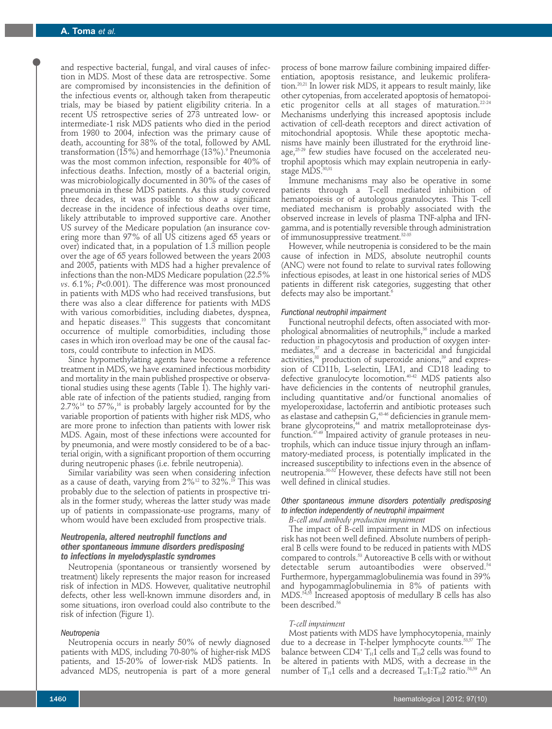and respective bacterial, fungal, and viral causes of infection in MDS. Most of these data are retrospective. Some are compromised by inconsistencies in the definition of the infectious events or, although taken from therapeutic trials, may be biased by patient eligibility criteria. In a recent US retrospective series of 273 untreated low- or intermediate-1 risk MDS patients who died in the period from 1980 to 2004, infection was the primary cause of death, accounting for 38% of the total, followed by AML transformation (15%) and hemorrhage (13%). <sup>9</sup> Pneumonia was the most common infection, responsible for 40% of infectious deaths. Infection, mostly of a bacterial origin, was microbiologically documented in 30% of the cases of pneumonia in these MDS patients. As this study covered three decades, it was possible to show a significant decrease in the incidence of infectious deaths over time, likely attributable to improved supportive care. Another US survey of the Medicare population (an insurance covering more than 97% of all US citizens aged 65 years or over) indicated that, in a population of 1.3 million people over the age of 65 years followed between the years 2003 and 2005, patients with MDS had a higher prevalence of infections than the non-MDS Medicare population (22.5% *vs*. 6.1%; *P*<0.001). The difference was most pronounced in patients with MDS who had received transfusions, but there was also a clear difference for patients with MDS with various comorbidities, including diabetes, dyspnea, and hepatic diseases. <sup>10</sup> This suggests that concomitant occurrence of multiple comorbidities, including those cases in which iron overload may be one of the causal factors, could contribute to infection in MDS.

Since hypomethylating agents have become a reference treatment in MDS, we have examined infectious morbidity and mortality in the main published prospective or observational studies using these agents (Table 1). The highly variable rate of infection of the patients studied, ranging from  $2.7\%^{14}$  to  $57\%,^{16}$  is probably largely accounted for by the variable proportion of patients with higher risk MDS, who are more prone to infection than patients with lower risk MDS. Again, most of these infections were accounted for by pneumonia, and were mostly considered to be of a bacterial origin, with a significant proportion of them occurring during neutropenic phases (i.e. febrile neutropenia).

Similar variability was seen when considering infection as a cause of death, varying from  $2\%^{12}$  to  $32\%.$   $^9$  This was probably due to the selection of patients in prospective trials in the former study, whereas the latter study was made up of patients in compassionate-use programs, many of whom would have been excluded from prospective trials.

# *Neutropenia, altered neutrophil functions and other spontaneous immune disorders predisposing to infections in myelodysplastic syndromes*

Neutropenia (spontaneous or transiently worsened by treatment) likely represents the major reason for increased risk of infection in MDS. However, qualitative neutrophil defects, other less well-known immune disorders and, in some situations, iron overload could also contribute to the risk of infection (Figure 1).

#### *Neutropenia*

Neutropenia occurs in nearly 50% of newly diagnosed patients with MDS, including 70-80% of higher-risk MDS patients, and 15-20% of lower-risk MDS patients. In advanced MDS, neutropenia is part of a more general

process of bone marrow failure combining impaired differentiation, apoptosis resistance, and leukemic proliferation. 20,21 In lower risk MDS, it appears to result mainly, like other cytopenias, from accelerated apoptosis of hematopoietic progenitor cells at all stages of maturation. 22-24 Mechanisms underlying this increased apoptosis include activation of cell-death receptors and direct activation of mitochondrial apoptosis. While these apoptotic mechanisms have mainly been illustrated for the erythroid lineage, 25-29 few studies have focused on the accelerated neutrophil apoptosis which may explain neutropenia in earlystage MDS. 30,31

Immune mechanisms may also be operative in some patients through a T-cell mediated inhibition of hematopoiesis or of autologous granulocytes. This T-cell mediated mechanism is probably associated with the observed increase in levels of plasma TNF-alpha and IFNgamma, and is potentially reversible through administration of immunosuppressive treatment. 32-35

However, while neutropenia is considered to be the main cause of infection in MDS, absolute neutrophil counts (ANC) were not found to relate to survival rates following infectious episodes, at least in one historical series of MDS patients in different risk categories, suggesting that other defects may also be important. 6

#### *Functional neutrophil impairment*

Functional neutrophil defects, often associated with morphological abnormalities of neutrophils, <sup>36</sup> include a marked reduction in phagocytosis and production of oxygen intermediates, <sup>37</sup> and a decrease in bactericidal and fungicidal activities, <sup>38</sup> production of superoxide anions, <sup>39</sup> and expression of CD11b, L-selectin, LFA1, and CD18 leading to defective granulocyte locomotion. 40-42 MDS patients also have deficiencies in the contents of neutrophil granules, including quantitative and/or functional anomalies of myeloperoxidase, lactoferrin and antibiotic proteases such as elastase and cathepsin  $G,$ <sup>43-46</sup> deficiencies in granule membrane glycoproteins, <sup>44</sup> and matrix metalloproteinase dysfunction. 47-49 Impaired activity of granule proteases in neutrophils, which can induce tissue injury through an inflammatory-mediated process, is potentially implicated in the increased susceptibility to infections even in the absence of neutropenia. 50-52 However, these defects have still not been well defined in clinical studies.

# *Other spontaneous immune disorders potentially predisposing to infection independently of neutrophil impairment*

*B-cell and antibody production impairment*

The impact of B-cell impairment in MDS on infectious risk has not been well defined. Absolute numbers of peripheral B cells were found to be reduced in patients with MDS compared to controls. <sup>53</sup> Autoreactive B cells with or without detectable serum autoantibodies were observed. 54 Furthermore, hypergammaglobulinemia was found in 39% and hypogammaglobulinemia in 8% of patients with MDS. 54,55 Increased apoptosis of medullary B cells has also been described. 56

#### *T-cell impairment*

Most patients with MDS have lymphocytopenia, mainly due to a decrease in T-helper lymphocyte counts. 53,57 The balance between CD4+  $T_H1$  cells and  $T_H2$  cells was found to be altered in patients with MDS, with a decrease in the number of  $T_\mathrm{H}1$  cells and a decreased  $T_\mathrm{H}1{:}T_\mathrm{H}2$  ratio. $^{58,59}$  An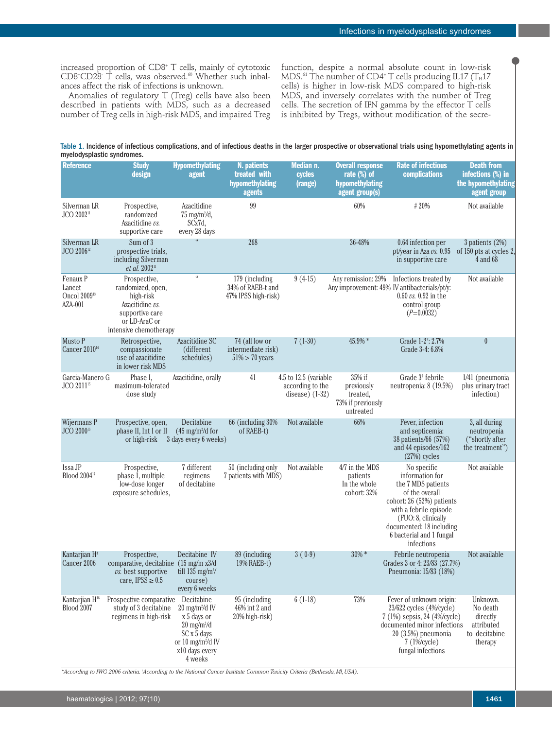increased proportion of CD8+ T cells, mainly of cytotoxic CD8+ CD28- T cells, was observed. <sup>60</sup> Whether such inbalances affect the risk of infections is unknown.

Anomalies of regulatory T (Treg) cells have also been described in patients with MDS, such as a decreased number of Treg cells in high-risk MDS, and impaired Treg function, despite a normal absolute count in low-risk MDS. $\rm ^{61}$  The number of CD4+ T cells producing IL17 (T $_{\rm H}$ 17 cells) is higher in low-risk MDS compared to high-risk MDS, and inversely correlates with the number of Treg cells. The secretion of IFN gamma by the effector T cells is inhibited by Tregs, without modification of the secre-

Table 1. Incidence of infectious complications, and of infectious deaths in the larger prospective or observational trials using hypomethylating agents in myelodysplastic syndromes.

| <b>Reference</b>                                          | <b>Study</b><br>design                                                                                                          | <b>Hypomethylating</b><br>agent                                                                                                                                 | N. patients<br>treated with<br>hypomethylating<br>agents   | Median n.<br>cycles<br>(range)                                | <b>Overall response</b><br>rate (%) of<br>hypomethylating<br>agent group(s) | <b>Rate of infectious</b><br>complications                                                                                                                                                                                 | <b>Death from</b><br>infections (%) in<br>the hypomethylating<br>agent group |
|-----------------------------------------------------------|---------------------------------------------------------------------------------------------------------------------------------|-----------------------------------------------------------------------------------------------------------------------------------------------------------------|------------------------------------------------------------|---------------------------------------------------------------|-----------------------------------------------------------------------------|----------------------------------------------------------------------------------------------------------------------------------------------------------------------------------------------------------------------------|------------------------------------------------------------------------------|
| Silverman LR<br>JCO 200211                                | Prospective,<br>randomized<br>Azacitidine vs.<br>supportive care                                                                | Azacitidine<br>$75$ mg/m $^{2}$ /d,<br>SCx7d,<br>every 28 days                                                                                                  | 99                                                         |                                                               | 60%                                                                         | #20%                                                                                                                                                                                                                       | Not available                                                                |
| Silverman LR<br>JCO 2006 <sup>12</sup>                    | Sum of 3<br>prospective trials,<br>including Silverman<br>et al. 2002 <sup>11</sup>                                             |                                                                                                                                                                 | 268                                                        |                                                               | 36-48%                                                                      | 0.64 infection per<br>pt/year in Aza vs. 0.95<br>in supportive care                                                                                                                                                        | $3$ patients $(2%)$<br>of 150 pts at cycles 2,<br>4 and 68                   |
| Fenaux P<br>Lancet<br>Oncol 2009 <sup>13</sup><br>AZA-001 | Prospective,<br>randomized, open,<br>high-risk<br>Azacitidine vs.<br>supportive care<br>or LD-AraC or<br>intensive chemotherapy | $\mathfrak{c}\,\mathfrak{c}$                                                                                                                                    | 179 (including<br>34% of RAEB-t and<br>47% IPSS high-risk) | $9(4-15)$                                                     | Any remission: 29%                                                          | Infections treated by<br>Any improvement: 49% IV antibacterials/pt/y:<br>$0.60 \nu s$ . 0.92 in the<br>control group<br>$(P=0.0032)$                                                                                       | Not available                                                                |
| Musto P<br><b>Cancer 2010</b> <sup>14</sup>               | Retrospective,<br>compassionate<br>use of azacitidine<br>in lower risk MDS                                                      | Azacitidine SC<br>(different)<br>schedules)                                                                                                                     | 74 (all low or<br>intermediate risk)<br>$51\% > 70$ years  | $7(1-30)$                                                     | 45.9% *                                                                     | Grade 1-2 <sup>†</sup> : 2.7%<br>Grade 3-4: 6.8%                                                                                                                                                                           | $\boldsymbol{0}$                                                             |
| Garcia-Manero G<br>JCO 2011 <sup>15</sup>                 | Phase I.<br>maximum-tolerated<br>dose study                                                                                     | Azacitidine, orally                                                                                                                                             | 41                                                         | 4.5 to 12.5 (variable<br>according to the<br>disease $(1-32)$ | 35% if<br>previously<br>treated,<br>73% if previously<br>untreated          | Grade 3 <sup>†</sup> febrile<br>neutropenia: 8 (19.5%)                                                                                                                                                                     | 1/41 (pneumonia<br>plus urinary tract<br>infection)                          |
| Wijermans P<br>JCO 2000 <sup>16</sup>                     | Prospective, open,<br>phase II, Int I or II<br>or high-risk                                                                     | Decitabine<br>$(45 \text{ mg/m}/d)$ for<br>3 days every 6 weeks)                                                                                                | 66 (including 30%)<br>of RAEB-t)                           | Not available                                                 | 66%                                                                         | Fever, infection<br>and septicemia:<br>38 patients/66 (57%)<br>and 44 episodes/162<br>$(27%)$ cycles                                                                                                                       | 3, all during<br>neutropenia<br>("shortly after<br>the treatment")           |
| Issa JP<br>Blood 2004 <sup>17</sup>                       | Prospective,<br>phase 1, multiple<br>low-dose longer<br>exposure schedules,                                                     | 7 different<br>regimens<br>of decitabine                                                                                                                        | 50 (including only<br>7 patients with MDS)                 | Not available                                                 | 4/7 in the MDS<br>patients<br>In the whole<br>cohort: 32%                   | No specific<br>information for<br>the 7 MDS patients<br>of the overall<br>cohort: 26 (52%) patients<br>with a febrile episode<br>(FUO: 8, clinically<br>documented: 18 including<br>6 bacterial and 1 fungal<br>infections | Not available                                                                |
| Kantarjian H <sup>4</sup><br>Cancer 2006                  | Prospective,<br>comparative, decitabine (15 mg/m x3/d<br>$\iota$ s. best supportive<br>care, $IPSS \geq 0.5$                    | Decitabine IV<br>till 135 mg/m <sup>2</sup> /<br>course)<br>every 6 weeks                                                                                       | 89 (including<br>19% RAEB-t)                               | $3(0-9)$                                                      | $30\% *$                                                                    | Febrile neutropenia<br>Grades 3 or 4: 23/83 (27.7%)<br>Pneumonia: 15/83 (18%)                                                                                                                                              | Not available                                                                |
| Kantarjian H <sup>18</sup><br><b>Blood 2007</b>           | Prospective comparative<br>study of 3 decitabine<br>regimens in high-risk                                                       | Decitabine<br>$20 \text{ mg/m}^2/\text{d}$ IV<br>x 5 days or<br>$20$ mg/m $^{2}$ /d<br>SCx 5 days<br>or 10 mg/m <sup>2</sup> /d IV<br>x10 days every<br>4 weeks | 95 (including<br>46% int 2 and<br>20% high-risk)           | $6(1-18)$                                                     | 73%                                                                         | Fever of unknown origin:<br>23/622 cycles (4%/cycle)<br>7 (1%) sepsis, 24 (4%/cycle)<br>documented minor infections<br>20 (3.5%) pneumonia<br>$7(1\%$ cycle $)$<br>fungal infections                                       | Unknown.<br>No death<br>directly<br>attributed<br>to decitabine<br>therapy   |

\*According to IWG 2006 criteria. According to the National Cancer Institute Common Toxicity Criteria (Bethesda, MI, USA).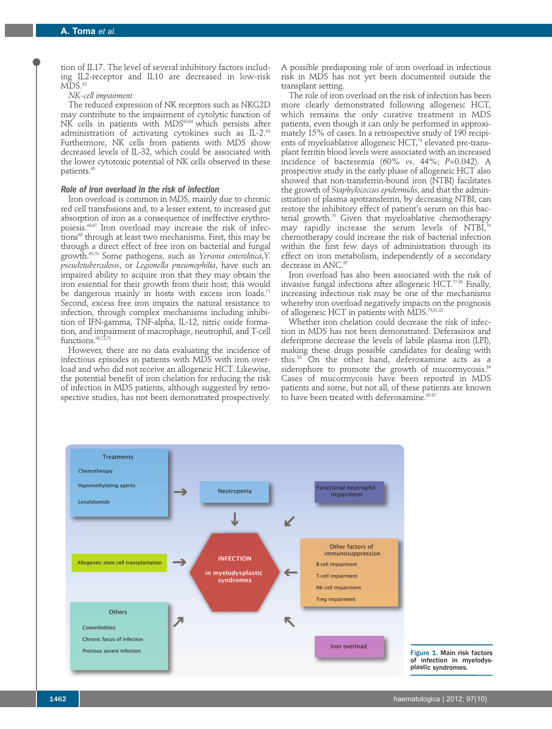tion of IL17. The level of several inhibitory factors including IL2-receptor and IL10 are decreased in low-risk  $MDS.^{62}$ 

# *NK-cell impairment*

The reduced expression of NK receptors such as NKG2D may contribute to the impairment of cytolytic function of NK cells in patients with MDS<sup>63,64</sup> which persists after administration of activating cytokines such as IL-2.<sup>63</sup> Furthermore, NK cells from patients with MDS show decreased levels of IL-32, which could be associated with the lower cytotoxic potential of NK cells observed in these patients. 65

## *Role of iron overload in the risk of infection*

Iron overload is common in MDS, mainly due to chronic red cell transfusions and, to a lesser extent, to increased gut absorption of iron as a consequence of ineffective erythropoiesis. 66,67 Iron overload may increase the risk of infections <sup>68</sup> through at least two mechanisms. First, this may be through a direct effect of free iron on bacterial and fungal growth. 69,70 Some pathogens, such as *Yersinia enterolitica*,*Y. pseudotuberculosis*, or *Legionella pneumophilia*, have such an impaired ability to acquire iron that they may obtain the iron essential for their growth from their host; this would be dangerous mainly in hosts with excess iron loads.<sup>71</sup> Second, excess free iron impairs the natural resistance to infection, through complex mechanisms including inhibition of IFN-gamma, TNF-alpha, IL-12, nitric oxide formation, and impairment of macrophage, neutrophil, and T-cell functions. 68,72,73

However, there are no data evaluating the incidence of infectious episodes in patients with MDS with iron overload and who did not receive an allogeneic HCT. Likewise, the potential benefit of iron chelation for reducing the risk of infection in MDS patients, although suggested by retrospective studies, has not been demonstrated prospectively.

A possible predisposing role of iron overload in infectious risk in MDS has not yet been documented outside the transplant setting.

The role of iron overload on the risk of infection has been more clearly demonstrated following allogeneic HCT, which remains the only curative treatment in MDS patients, even though it can only be performed in approximately 15% of cases. In a retrospective study of 190 recipients of myeloablative allogeneic HCT, <sup>74</sup> elevated pre-transplant ferritin blood levels were associated with an increased incidence of bacteremia (60% *vs*. 44%; *P*=0.042). A prospective study in the early phase of allogeneic HCT also showed that non-transferrin-bound iron (NTBI) facilitates the growth of *Staphylococcus epidermidis*, and that the administration of plasma apotransferrin, by decreasing NTBI, can restore the inhibitory effect of patient's serum on this bacterial growth. <sup>75</sup> Given that myeloablative chemotherapy may rapidly increase the serum levels of NTBI, $^{76}$ chemotherapy could increase the risk of bacterial infection within the first few days of administration through its effect on iron metabolism, independently of a secondary decrease in ANC. 67

Iron overload has also been associated with the risk of invasive fungal infections after allogeneic  $\mathrm{HCT}^{77\cdot 80}$  Finally, increasing infectious risk may be one of the mechanisms whereby iron overload negatively impacts on the prognosis of allogeneic HCT in patients with MDS. 74,81,82

Whether iron chelation could decrease the risk of infection in MDS has not been demonstrated. Deferasirox and deferiprone decrease the levels of labile plasma iron (LPI), making these drugs possible candidates for dealing with this. <sup>83</sup> On the other hand, deferoxamine acts as a siderophore to promote the growth of mucormycosis.<sup>84</sup> Cases of mucormycosis have been reported in MDS patients and some, but not all, of these patients are known to have been treated with deferoxamine. 85-87



Figure 1. Main risk factors of infection in myelodys plastic syndromes.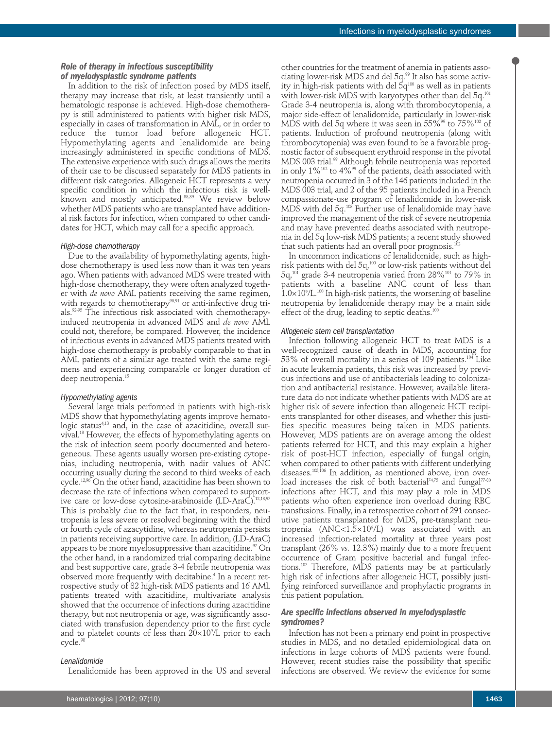# *Role of therapy in infectious susceptibility of myelodysplastic syndrome patients*

In addition to the risk of infection posed by MDS itself, therapy may increase that risk, at least transiently until a hematologic response is achieved. High-dose chemotherapy is still administered to patients with higher risk MDS, especially in cases of transformation in AML, or in order to reduce the tumor load before allogeneic HCT. Hypomethylating agents and lenalidomide are being increasingly administered in specific conditions of MDS. The extensive experience with such drugs allows the merits of their use to be discussed separately for MDS patients in different risk categories. Allogeneic HCT represents a very specific condition in which the infectious risk is wellknown and mostly anticipated. 88,89 We review below whether MDS patients who are transplanted have additional risk factors for infection, when compared to other candidates for HCT, which may call for a specific approach.

#### *High-dose chemotherapy*

Due to the availability of hypomethylating agents, highdose chemotherapy is used less now than it was ten years ago. When patients with advanced MDS were treated with high-dose chemotherapy, they were often analyzed together with *de novo* AML patients receiving the same regimen, with regards to chemotherapy<sup>90,91</sup> or anti-infective drug trials. 92-95 The infectious risk associated with chemotherapyinduced neutropenia in advanced MDS and *de novo* AML could not, therefore, be compared. However, the incidence of infectious events in advanced MDS patients treated with high-dose chemotherapy is probably comparable to that in AML patients of a similar age treated with the same regimens and experiencing comparable or longer duration of deep neutropenia. 15

# *Hypomethylating agents*

Several large trials performed in patients with high-risk MDS show that hypomethylating agents improve hematologic status 4,13 and, in the case of azacitidine, overall survival. <sup>13</sup> However, the effects of hypomethylating agents on the risk of infection seem poorly documented and heterogeneous. These agents usually worsen pre-existing cytopenias, including neutropenia, with nadir values of ANC occurring usually during the second to third weeks of each cycle. 12,96 On the other hand, azacitidine has been shown to decrease the rate of infections when compared to supportive care or low-dose cytosine-arabinoside (LD-AraC). 12,13,97 This is probably due to the fact that, in responders, neutropenia is less severe or resolved beginning with the third or fourth cycle of azacytidine, whereas neutropenia persists in patients receiving supportive care. In addition, (LD-AraC) appears to be more myelosuppressive than azacitidine. <sup>97</sup> On the other hand, in a randomized trial comparing decitabine and best supportive care, grade 3-4 febrile neutropenia was observed more frequently with decitabine. <sup>4</sup> In a recent retrospective study of 82 high-risk MDS patients and 16 AML patients treated with azacitidine, multivariate analysis showed that the occurrence of infections during azacitidine therapy, but not neutropenia or age, was significantly associated with transfusion dependency prior to the first cycle and to platelet counts of less than  $20\!\times\!10^{\circ}\!/$ L prior to each cycle. 98

#### *Lenalidomide*

Lenalidomide has been approved in the US and several

other countries for the treatment of anemia in patients associating lower-risk MDS and del 5q. <sup>99</sup> It also has some activity in high-risk patients with del  $5\mathsf{q}^\text{100}$  as well as in patients with lower-risk MDS with karyotypes other than del 5q. 101 Grade 3-4 neutropenia is, along with thrombocytopenia, a major side-effect of lenalidomide, particularly in lower-risk MDS with del 5q where it was seen in  $55\%$ <sup>99</sup> to  $75\%$ <sup>102</sup> of patients. Induction of profound neutropenia (along with thrombocytopenia) was even found to be a favorable prognostic factor of subsequent erythroid response in the pivotal MDS 003 trial. <sup>99</sup> Although febrile neutropenia was reported in only 1% $^{102}$  to 4% $^{\rm 99}$  of the patients, death associated with neutropenia occurred in 3 of the 146 patients included in the MDS 003 trial, and 2 of the 95 patients included in a French compassionate-use program of lenalidomide in lower-risk MDS with del 5q.<sup>103</sup> Further use of lenalidomide may have improved the management of the risk of severe neutropenia and may have prevented deaths associated with neutropenia in del 5q low-risk MDS patients; a recent study showed that such patients had an overall poor prognosis. $^{\scriptscriptstyle 102}$ 

In uncommon indications of lenalidomide, such as highrisk patients with del 5q, <sup>100</sup> or low-risk patients without del  $5$ q, $^{\scriptscriptstyle 101}$  grade 3-4 neutropenia varied from 28% $^{\scriptscriptstyle 101}$  to 79% in patients with a baseline ANC count of less than  $1.0\times10^9$ /L.<sup>100</sup> In high-risk patients, the worsening of baseline neutropenia by lenalidomide therapy may be a main side effect of the drug, leading to septic deaths.<sup>100</sup>

#### *Allogeneic stem cell transplantation*

Infection following allogeneic HCT to treat MDS is a well-recognized cause of death in MDS, accounting for  $53\%$  of overall mortality in a series of 109 patients. $^{104}$  Like in acute leukemia patients, this risk was increased by previous infections and use of antibacterials leading to colonization and antibacterial resistance. However, available literature data do not indicate whether patients with MDS are at higher risk of severe infection than allogeneic HCT recipients transplanted for other diseases, and whether this justifies specific measures being taken in MDS patients. However, MDS patients are on average among the oldest patients referred for HCT, and this may explain a higher risk of post-HCT infection, especially of fungal origin, when compared to other patients with different underlying diseases. 105,106 In addition, as mentioned above, iron overload increases the risk of both bacterial $^{74,75}$  and fungal $^{77\text{-}80}$ infections after HCT, and this may play a role in MDS patients who often experience iron overload during RBC transfusions. Finally, in a retrospective cohort of 291 consecutive patients transplanted for MDS, pre-transplant neutropenia (ANC<1.5×10°/L) was associated with an increased infection-related mortality at three years post transplant (26% *vs.* 12.3%) mainly due to a more frequent occurrence of Gram positive bacterial and fungal infections. <sup>107</sup> Therefore, MDS patients may be at particularly high risk of infections after allogeneic HCT, possibly justifying reinforced surveillance and prophylactic programs in this patient population.

### *Are specific infections observed in myelodysplastic syndromes?*

Infection has not been a primary end point in prospective studies in MDS, and no detailed epidemiological data on infections in large cohorts of MDS patients were found. However, recent studies raise the possibility that specific infections are observed. We review the evidence for some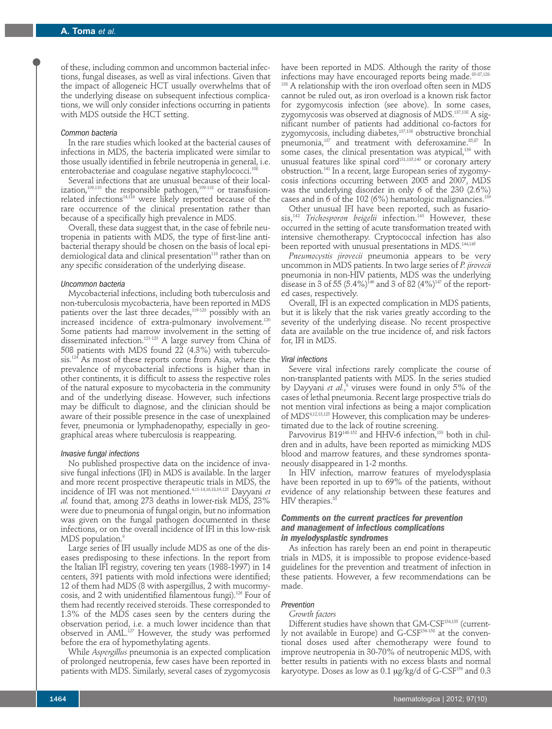of these, including common and uncommon bacterial infections, fungal diseases, as well as viral infections. Given that the impact of allogeneic HCT usually overwhelms that of the underlying disease on subsequent infectious complications, we will only consider infections occurring in patients with MDS outside the HCT setting.

#### *Common bacteria*

In the rare studies which looked at the bacterial causes of infections in MDS, the bacteria implicated were similar to those usually identified in febrile neutropenia in general, i.e. enterobacteriae and coagulase negative staphylococci. 108

Several infections that are unusual because of their localization, 109,110 the responsible pathogen, 109-118 or transfusionrelated infections 14,116 were likely reported because of the rare occurrence of the clinical presentation rather than because of a specifically high prevalence in MDS.

Overall, these data suggest that, in the case of febrile neutropenia in patients with MDS, the type of first-line antibacterial therapy should be chosen on the basis of local epidemiological data and clinical presentation<sup>118</sup> rather than on any specific consideration of the underlying disease.

#### *Uncommon bacteria*

Mycobacterial infections, including both tuberculosis and non-tuberculosis mycobacteria, have been reported in MDS patients over the last three decades, 119-123 possibly with an increased incidence of extra-pulmonary involvement. 120 Some patients had marrow involvement in the setting of disseminated infection. 121-123 A large survey from China of 508 patients with MDS found 22 (4.3%) with tuberculosis. <sup>124</sup> As most of these reports come from Asia, where the prevalence of mycobacterial infections is higher than in other continents, it is difficult to assess the respective roles of the natural exposure to mycobacteria in the community and of the underlying disease. However, such infections may be difficult to diagnose, and the clinician should be aware of their possible presence in the case of unexplained fever, pneumonia or lymphadenopathy, especially in geographical areas where tuberculosis is reappearing.

#### *Invasive fungal infections*

No published prospective data on the incidence of invasive fungal infections (IFI) in MDS is available. In the larger and more recent prospective therapeutic trials in MDS, the incidence of IFI was not mentioned. 4,11-14,16,18,19,125 Dayyani *et al.* found that, among 273 deaths in lower-risk MDS, 23% were due to pneumonia of fungal origin, but no information was given on the fungal pathogen documented in these infections, or on the overall incidence of IFI in this low-risk MDS population. 9

Large series of IFI usually include MDS as one of the diseases predisposing to these infections. In the report from the Italian IFI registry, covering ten years (1988-1997) in 14 centers, 391 patients with mold infections were identified; 12 of them had MDS (8 with aspergillus, 2 with mucormycosis, and 2 with unidentified filamentous fungi). <sup>126</sup> Four of them had recently received steroids. These corresponded to 1.3% of the MDS cases seen by the centers during the observation period, i.e. a much lower incidence than that observed in AML. <sup>127</sup> However, the study was performed before the era of hypomethylating agents.

While *Aspergillus* pneumonia is an expected complication of prolonged neutropenia, few cases have been reported in patients with MDS. Similarly, several cases of zygomycosis have been reported in MDS. Although the rarity of those infections may have encouraged reports being made. 85-87,128- 138 A relationship with the iron overload often seen in MDS cannot be ruled out, as iron overload is a known risk factor for zygomycosis infection (see above). In some cases, zygomycosis was observed at diagnosis of MDS. 137,138 A significant number of patients had additional co-factors for zygomycosis, including diabetes, 137,138 obstructive bronchial pneumonia, <sup>137</sup> and treatment with deferoxamine. 85,87 In some cases, the clinical presentation was atypical, <sup>139</sup> with unusual features like spinal cord131,135,140 or coronary artery obstruction. <sup>141</sup> In a recent, large European series of zygomycosis infections occurring between 2005 and 2007, MDS was the underlying disorder in only 6 of the 230 (2.6%) cases and in 6 of the 102 (6%) hematologic malignancies. $^{139}$ 

Other unusual IFI have been reported, such as fusariosis, <sup>142</sup> *Trichosporon beigelii* infection. <sup>143</sup> However, these occurred in the setting of acute transformation treated with intensive chemotherapy. Cryptococcal infection has also been reported with unusual presentations in MDS. 144,145

*Pneumocystis jirovecii* pneumonia appears to be very uncommon in MDS patients. In two large series of *P. jirovecii* pneumonia in non-HIV patients, MDS was the underlying disease in 3 of 55  $(5.4\%)^{146}$  and 3 of 82  $(4\%)^{147}$  of the reported cases, respectively.

Overall, IFI is an expected complication in MDS patients, but it is likely that the risk varies greatly according to the severity of the underlying disease. No recent prospective data are available on the true incidence of, and risk factors for, IFI in MDS.

#### *Viral infections*

Severe viral infections rarely complicate the course of non-transplanted patients with MDS. In the series studied by Dayyani *et al.*,<sup>9</sup> viruses were found in only 5% of the cases of lethal pneumonia. Recent large prospective trials do not mention viral infections as being a major complication of MDS4,12,13,125 However, this complication may be underestimated due to the lack of routine screening.

Parvovirus B19148-152 and HHV-6 infection, <sup>153</sup> both in children and in adults, have been reported as mimicking MDS blood and marrow features, and these syndromes spontaneously disappeared in 1-2 months.

In HIV infection, marrow features of myelodysplasia have been reported in up to 69% of the patients, without evidence of any relationship between these features and HIV therapies. 33

# *Comments on the current practices for prevention and management of infectious complications in myelodysplastic syndromes*

As infection has rarely been an end point in therapeutic trials in MDS, it is impossible to propose evidence-based guidelines for the prevention and treatment of infection in these patients. However, a few recommendations can be made.

#### *Prevention*

# *Growth factors*

Different studies have shown that GM-CSF<sup>154,155</sup> (currently not available in Europe) and G-CSF<sup>156-158</sup> at the conventional doses used after chemotherapy were found to improve neutropenia in 30-70% of neutropenic MDS, with better results in patients with no excess blasts and normal karyotype. Doses as low as 0.1  $\mu$ g/kg/d of G-CSF<sup>159</sup> and 0.3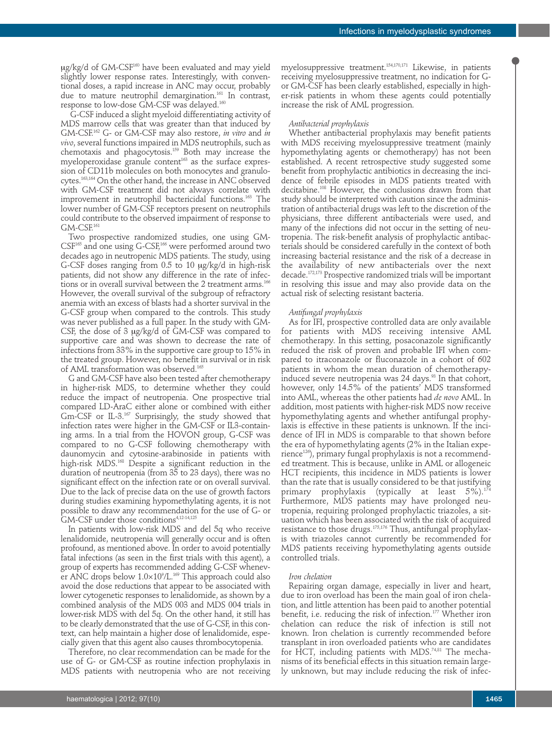ug/kg/d of GM-CSF<sup>160</sup> have been evaluated and may yield slightly lower response rates. Interestingly, with conventional doses, a rapid increase in ANC may occur, probably due to mature neutrophil demargination. <sup>161</sup> In contrast, response to low-dose GM-CSF was delayed. 160

G-CSF induced a slight myeloid differentiating activity of MDS marrow cells that was greater than that induced by GM-CSF. <sup>162</sup> G- or GM-CSF may also restore, *in vitro* and *in vivo*, several functions impaired in MDS neutrophils, such as chemotaxis and phagocytosis. <sup>159</sup> Both may increase the myeloperoxidase granule content <sup>163</sup> as the surface expression of CD11b molecules on both monocytes and granulocytes. 163,164 On the other hand, the increase in ANC observed with GM-CSF treatment did not always correlate with improvement in neutrophil bactericidal functions. <sup>163</sup> The lower number of GM-CSF receptors present on neutrophils could contribute to the observed impairment of response to  $GM$ - $CSF$ <sup>161</sup>

Two prospective randomized studies, one using GM- $CSF^{165}$  and one using G-CSF, $^{166}$  were performed around two decades ago in neutropenic MDS patients. The study, using G-CSF doses ranging from 0.5 to 10 mg/kg/d in high-risk patients, did not show any difference in the rate of infections or in overall survival between the 2 treatment arms. 166 However, the overall survival of the subgroup of refractory anemia with an excess of blasts had a shorter survival in the G-CSF group when compared to the controls. This study was never published as a full paper. In the study with GM-CSF, the dose of 3 µg/kg/d of GM-CSF was compared to supportive care and was shown to decrease the rate of infections from 33% in the supportive care group to 15% in the treated group. However, no benefit in survival or in risk of AML transformation was observed. 165

G and GM-CSF have also been tested after chemotherapy in higher-risk MDS, to determine whether they could reduce the impact of neutropenia. One prospective trial compared LD-AraC either alone or combined with either Gm-CSF or IL-3. <sup>167</sup> Surprisingly, the study showed that infection rates were higher in the GM-CSF or IL3-containing arms. In a trial from the HOVON group, G-CSF was compared to no G-CSF following chemotherapy with daunomycin and cytosine-arabinoside in patients with high-risk MDS. <sup>168</sup> Despite a significant reduction in the duration of neutropenia (from 35 to 23 days), there was no significant effect on the infection rate or on overall survival. Due to the lack of precise data on the use of growth factors during studies examining hypomethylating agents, it is not possible to draw any recommendation for the use of G- or GM-CSF under those conditions 4,12-14,125

In patients with low-risk MDS and del 5q who receive lenalidomide, neutropenia will generally occur and is often profound, as mentioned above. In order to avoid potentially fatal infections (as seen in the first trials with this agent), a group of experts has recommended adding G-CSF whenever ANC drops below 1.0×10°/L.<sup>169</sup> This approach could also avoid the dose reductions that appear to be associated with lower cytogenetic responses to lenalidomide, as shown by a combined analysis of the MDS 003 and MDS 004 trials in lower-risk MDS with del 5q. On the other hand, it still has to be clearly demonstrated that the use of G-CSF, in this context, can help maintain a higher dose of lenalidomide, especially given that this agent also causes thrombocytopenia.

Therefore, no clear recommendation can be made for the use of G- or GM-CSF as routine infection prophylaxis in MDS patients with neutropenia who are not receiving

myelosuppressive treatment. 154,170,171 Likewise, in patients receiving myelosuppressive treatment, no indication for Gor GM-CSF has been clearly established, especially in higher-risk patients in whom these agents could potentially increase the risk of AML progression.

#### *Antibacterial prophylaxis*

Whether antibacterial prophylaxis may benefit patients with MDS receiving myelosuppressive treatment (mainly hypomethylating agents or chemotherapy) has not been established. A recent retrospective study suggested some benefit from prophylactic antibiotics in decreasing the incidence of febrile episodes in MDS patients treated with decitabine. <sup>108</sup> However, the conclusions drawn from that study should be interpreted with caution since the administration of antibacterial drugs was left to the discretion of the physicians, three different antibacterials were used, and many of the infections did not occur in the setting of neutropenia. The risk-benefit analysis of prophylactic antibacterials should be considered carefully in the context of both increasing bacterial resistance and the risk of a decrease in the availability of new antibacterials over the next decade. 172,173 Prospective randomized trials will be important in resolving this issue and may also provide data on the actual risk of selecting resistant bacteria.

#### *Antifungal prophylaxis*

As for IFI, prospective controlled data are only available for patients with MDS receiving intensive AML chemotherapy. In this setting, posaconazole significantly reduced the risk of proven and probable IFI when compared to itraconazole or fluconazole in a cohort of 602 patients in whom the mean duration of chemotherapyinduced severe neutropenia was 24 days. <sup>93</sup> In that cohort, however, only 14.5% of the patients' MDS transformed into AML, whereas the other patients had *de novo* AML. In addition, most patients with higher-risk MDS now receive hypomethylating agents and whether antifungal prophylaxis is effective in these patients is unknown. If the incidence of IFI in MDS is comparable to that shown before the era of hypomethylating agents (2% in the Italian experience<sup>126</sup>), primary fungal prophylaxis is not a recommended treatment. This is because, unlike in AML or allogeneic HCT recipients, this incidence in MDS patients is lower than the rate that is usually considered to be that justifying primary prophylaxis (typically at least 5%). 174 Furthermore, MDS patients may have prolonged neutropenia, requiring prolonged prophylactic triazoles, a situation which has been associated with the risk of acquired resistance to those drugs. 175,176 Thus, antifungal prophylaxis with triazoles cannot currently be recommended for MDS patients receiving hypomethylating agents outside controlled trials.

#### *Iron chelation*

Repairing organ damage, especially in liver and heart, due to iron overload has been the main goal of iron chelation, and little attention has been paid to another potential benefit, i.e. reducing the risk of infection. <sup>177</sup> Whether iron chelation can reduce the risk of infection is still not known. Iron chelation is currently recommended before transplant in iron overloaded patients who are candidates for HCT, including patients with MDS. 74,81 The mechanisms of its beneficial effects in this situation remain largely unknown, but may include reducing the risk of infec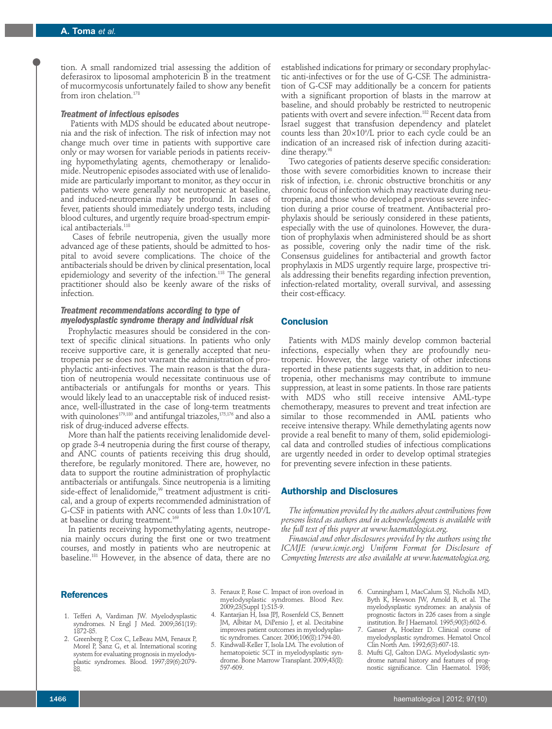tion. A small randomized trial assessing the addition of deferasirox to liposomal amphotericin B in the treatment of mucormycosis unfortunately failed to show any benefit from iron chelation. 178

#### *Treatment of infectious episodes*

Patients with MDS should be educated about neutropenia and the risk of infection. The risk of infection may not change much over time in patients with supportive care only or may worsen for variable periods in patients receiving hypomethylating agents, chemotherapy or lenalidomide. Neutropenic episodes associated with use of lenalidomide are particularly important to monitor, as they occur in patients who were generally not neutropenic at baseline, and induced-neutropenia may be profound. In cases of fever, patients should immediately undergo tests, including blood cultures, and urgently require broad-spectrum empirical antibacterials. 118

Cases of febrile neutropenia, given the usually more advanced age of these patients, should be admitted to hospital to avoid severe complications. The choice of the antibacterials should be driven by clinical presentation, local epidemiology and severity of the infection. <sup>118</sup> The general practitioner should also be keenly aware of the risks of infection.

### *Treatment recommendations according to type of myelodysplastic syndrome therapy and individual risk*

Prophylactic measures should be considered in the context of specific clinical situations. In patients who only receive supportive care, it is generally accepted that neutropenia per se does not warrant the administration of prophylactic anti-infectives. The main reason is that the duration of neutropenia would necessitate continuous use of antibacterials or antifungals for months or years. This would likely lead to an unacceptable risk of induced resistance, well-illustrated in the case of long-term treatments with quinolones $^{\rm 179,180}$  and antifungal triazoles, $^{\rm 175,176}$  and also a risk of drug-induced adverse effects.

More than half the patients receiving lenalidomide develop grade 3-4 neutropenia during the first course of therapy, and ANC counts of patients receiving this drug should, therefore, be regularly monitored. There are, however, no data to support the routine administration of prophylactic antibacterials or antifungals. Since neutropenia is a limiting side-effect of lenalidomide, <sup>99</sup> treatment adjustment is critical, and a group of experts recommended administration of G-CSF in patients with ANC counts of less than  $1.0\times10^9$ /L at baseline or during treatment. 169

In patients receiving hypomethylating agents, neutropenia mainly occurs during the first one or two treatment courses, and mostly in patients who are neutropenic at baseline. <sup>181</sup> However, in the absence of data, there are no

established indications for primary or secondary prophylactic anti-infectives or for the use of G-CSF. The administration of G-CSF may additionally be a concern for patients with a significant proportion of blasts in the marrow at baseline, and should probably be restricted to neutropenic patients with overt and severe infection. <sup>182</sup> Recent data from Israel suggest that transfusion dependency and platelet counts less than  $20\times10^9$ /L prior to each cycle could be an indication of an increased risk of infection during azacitidine therapy. 98

Two categories of patients deserve specific consideration: those with severe comorbidities known to increase their risk of infection, i.e. chronic obstructive bronchitis or any chronic focus of infection which may reactivate during neutropenia, and those who developed a previous severe infection during a prior course of treatment. Antibacterial prophylaxis should be seriously considered in these patients, especially with the use of quinolones. However, the duration of prophylaxis when administered should be as short as possible, covering only the nadir time of the risk. Consensus guidelines for antibacterial and growth factor prophylaxis in MDS urgently require large, prospective trials addressing their benefits regarding infection prevention, infection-related mortality, overall survival, and assessing their cost-efficacy.

# **Conclusion**

Patients with MDS mainly develop common bacterial infections, especially when they are profoundly neutropenic. However, the large variety of other infections reported in these patients suggests that, in addition to neutropenia, other mechanisms may contribute to immune suppression, at least in some patients. In those rare patients with MDS who still receive intensive AML-type chemotherapy, measures to prevent and treat infection are similar to those recommended in AML patients who receive intensive therapy. While demethylating agents now provide a real benefit to many of them, solid epidemiological data and controlled studies of infectious complications are urgently needed in order to develop optimal strategies for preventing severe infection in these patients.

# **Authorship and Disclosures**

*The information provided by the authors about contributions from persons listed as authors and in acknowledgments is available with the full text of this paper at www.haematologica.org.*

*Financial and other disclosures provided by the authors using the ICMJE (www.icmje.org) Uniform Format for Disclosure of Competing Interests are also available at www.haematologica.org.*

# **References**

- 1. Tefferi A, Vardiman JW. Myelodysplastic syndromes. N Engl J Med. 2009;361(19): 1872-85.
- 2. Greenberg P, Cox C, LeBeau MM, Fenaux P, Morel P, Sanz G, et al. International scoring system for evaluating prognosis in myelodysplastic syndromes. Blood. 1997;89(6):2079- 88.
- 3. Fenaux P, Rose C. Impact of iron overload in myelodysplastic syndromes. Blood Rev. 2009;23(Suppl 1):S15-9.
- 4. Kantarjian H, Issa JPJ, Rosenfeld CS, Bennett JM, Albitar M, DiPersio J, et al. Decitabine improves patient outcomes in myelodysplastic syndromes. Cancer. 2006;106(8):1794-80.
- 5. Kindwall-Keller T, Isola LM. The evolution of hematopoietic SCT in myelodysplastic syndrome. Bone Marrow Transplant. 2009;43(8): 597-609.
- 6. Cunningham I, MacCalum SJ, Nicholls MD, Byth K, Hewson JW, Arnold B, et al. The myelodysplastic syndromes: an analysis of prognostic factors in 226 cases from a single institution. Br J Haematol. 1995;90(3):602-6.
- 7. Ganser A, Hoelzer D. Clinical course of myelodysplastic syndromes. Hematol Oncol Clin North Am. 1992;6(3):607-18.
- 8. Mufti GJ, Galton DAG. Myelodyslastic syndrome natural history and features of prognostic significance. Clin Haematol. 1986;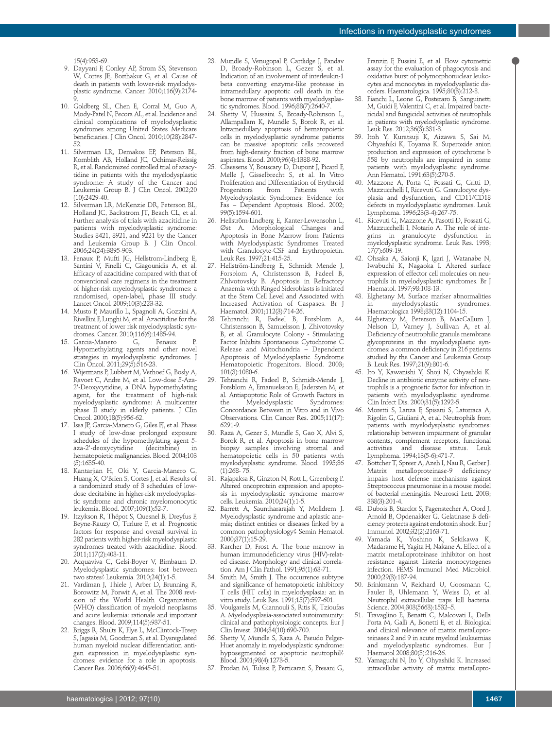15(4):953-69.

- 9. Dayyani F, Conley AP, Strom SS, Stevenson W, Cortes JE, Borthakur G, et al. Cause of death in patients with lower-risk myelodysplastic syndrome. Cancer. 2010;116(9):2174- 9.
- 10. Goldberg SL, Chen E, Corral M, Guo A, Mody-Patel N, Pecora AL, et al. Incidence and clinical complications of myelodysplastic syndromes among United States Medicare beneficiaries. J Clin Oncol. 2010;10(28):2847- 52.
- 11. Silverman LR, Demakos EP, Peterson BL, Kornblith AB, Holland JC, Ochimar-Reissig R, et al. Randomized controlled trial of azacytidine in patients with the myelodysplastic syndrome: A study of the Cancer and Leukemia Group B. J CIin Oncol. 2002;20 (10):2429-40.
- 12. Silverman LR, McKenzie DR, Peterson BL, Holland JC, Backstrom JT, Beach CL, et al. Further analysis of trials with azacitidine in patients with myelodysplastic syndrome: Studies 8421, 8921, and  $9221$  by the Cancer and Leukemia Group B. J Clin Oncol. 2006;24(24):3895-903.
- 13. Fenaux P, Mufti JG, Hellstrom-Lindberg E, Santini V, Finelli C, Giagounidis A, et al. Efficacy of azacitidine compared with that of conventional care regimens in the treatment of higher-risk myelodysplastic syndromes: a randomised, open-label, phase III study. Lancet Oncol. 2009;10(3):223-32.
- 14. Musto P, Maurillo L, Spagnoli A, Gozzini A, Rivellini F, Lunghi M, et al. Azacitidine for the treatment of lower risk myelodysplastic syndromes. Cancer. 2010;116(6):1485-94.<br>Garcia-Manero G, Fenaux
- 15. Garcia-Manero G, Fenaux P. Hypomethylating agents and other novel strategies in myelodysplastic syndromes. J Clin Oncol. 2011;29(5):516-23.
- 16. Wijermans P, Lubbert M, Verhoef G, Bosly A, Ravoet C, Andre M, et al. Low-dose 5-Aza-2'-Deoxycytidine, a DNA hypomethylating agent, for the treatment of high-risk myelodysplastic syndrome: A multicenter phase II study in elderly patients. J CIin Oncol. 2000;18(5):956-62.
- 17. Issa JP, Garcia-Manero G, Giles FJ, et al. Phase I study of low-dose prolonged exposure schedules of the hypomethylating agent 5 aza-2'-deoxycytidine (decitabine) hematopoietic malignancies. Blood. 2004;103  $(5):1635-40.$
- 18. Kantarjian H, Oki Y, Garcia-Manero G, Huang X, O'Brien S, Cortes J, et al. Results of a randomized study of 3 schedules of lowdose decitabine in higher-risk myelodysplastic syndrome and chronic myelomonocytic leukemia. Blood. 2007;109(1):52-7.
- 19. Itzykson R, Thépot S, Quesnel B, Dreyfus F, Beyne-Rauzy O, Turlure P, et al. Prognostic factors for response and overall survival in 282 patients with higher-risk myelodysplastic syndromes treated with azacitidine. Blood. 2011;117(2):403-11.
- 20. Acquaviva C, Gelsi-Boyer V, Birnbaum D. Myelodysplastic syndromes: lost between two states? Leukemia. 2010;24(1):1-5.
- 21. Vardiman J, Thiele J, Arber D, Brunning R, Borowitz M, Porwit A, et al. The 2008 revision of the World Health Organization (WHO) classification of myeloid neoplasms and acute leukemia: rationale and important changes. Blood. 2009;114(5):937-51.
- 22. Briggs R, Shults K, Flye L, McClintock-Treep S, Jagasia M, Goodman S, et al. Dysregulated human myeloid nuclear differentiation antigen expression in myelodysplastic syndromes: evidence for a role in apoptosis. Cancer Res. 2006;66(9):4645-51.
- 23. Mundle S, Venugopal P, Cartlidge J, Pandav D, Broady-Robinson L, Gezer S, et al. Indication of an involvement of interleukin-1 beta converting enzyme-like protease in intramedullary apoptotic cell death in the bone marrow of patients with myelodysplastic syndromes. Blood. 1996;88(7):2640-7.
- 24. Shetty V, Hussaini S, Broady-Robinson L, Allampallam K, Mundle S, Borok R, et al. Intramedullary apoptosis of hematopoietic cells in myelodysplastic syndrome patients can be massive: apoptotic cells recovered from high-density fraction of bone marrow aspirates. Blood. 2000;96(4):1388-92.
- 25. Claessens Y, Bouscary D, Dupont J, Picard F, Melle J, Gisselbrecht S, et al. In Vitro Proliferation and Differentiation of Erythroid<br>Progenitors from Patients with Progenitors Myelodysplastic Syndromes: Evidence for Fas – Dependent Apoptosis. Blood. 2002; 99(5):1594-601.
- 26. Hellström-Lindberg E, Kanter-Lewensohn L, Øst A. Morphological Changes and Apoptosis in Bone Marrow from Patients with Myelodysplastic Syndromes Treated with Granulocyte-CSF and Erythropoietin. Leuk Res. 1997;21:415-25.
- 27. Hellström-Lindberg E, Schmidt Mende J, Forsblom A, Christensson B, Fadeel B, Zhlvotovsky B. Apoptosis in Refractory Anaemia with Ringed Sideroblasts is Initiated at the Stem Cell Level and Associated with Increased Activation of Caspases. Br J Haematol. 2001;112(3):714-26.
- 28. Tehranchi R, Fadeel B, Forsblom A, Christensson B, Samuelsson J, Zhivotovsky B, et al. Granulocyte Colony - Stimulating Factor Inhibits Spontaneous Cytochrome C Release and Mitochondria – Dependent Apoptosis of Myelodysplastic Syndrome Hematopoietic Progenitors. Blood. 2003; 101(3):1080-6.
- 29. Tehranchi R, Fadeel B, Schmidt-Mende J, Forsblom A, Emanuelsson E, Jadersten M, et al. Antiapoptotic Role of Growth Factors in the Myelodysplastic Syndromes: Concordance Between in Vitro and in Vivo Observations. Clin Cancer Res. 2005;11(17): 6291-9.
- 30. Raza A, Gezer S, Mundle S, Gao X, Alvi S, Borok R, et al. Apoptosis in bone marrow biopsy samples involving stromal and hematopoietic cells in  $50$  patients with myelodysplastic syndrome. Blood. 1995;86  $(1):268 - 75$ .
- 31. Rajapaksa R, Ginzton N, Rott L, Greenberg P. Altered oncoprotein expression and apoptosis in myelodysplastic syndrome marrow cells. Leukemia. 2010;24(1):1-5.
- 32. Barrett A, Saunthararajah Y, Molldrem J. Myelodysplastic syndrome and aplastic anemia; distinct entities or diseases linked by a common pathophysiology? Semin Hematol. 2000;37(1):15-29.
- 33. Karcher D, Frost A. The bone marrow in human immunodeficiency virus (HIV)-related disease. Morphology and clinical correlation. Am J Clin Pathol. 1991;95(1):63-71.
- 34. Smith M, Smith J. The occurrence subtype and significance of hematopoietic inhibitory T cells (HIT cells) in myelodysplasia: an in vitro study. Leuk Res. 1991;15(7):597-601.
- 35. Voulgarelis M, Giannouli S, Ritis K, Tzioufas A. Myelodysplasia-associated autoimmunity: clinical and pathophysiologic concepts. Eur J Clin Invest. 2004;34(10):690-700.
- 36. Shetty V, Mundle S, Raza A. Pseudo Pelger-Huet anomaly in myelodysplastic syndrome: hyposegmented or apoptotic neutrophil? Blood. 2001;98(4):1273-5.
- 37. Prodan M, Tulissi P, Perticarari S, Presani G,

Franzin F, Pussini E, et al. Flow cytometric assay for the evaluation of phagocytosis and oxidative burst of polymorphonuclear leukocytes and monocytes in myelodysplastic disorders. Haematologica. 1995;80(3):212-8.

- 38. Fianchi L, Leone G, Posteraro B, Sanguinetti M, Guidi F, Valentini C, et al. Impaired bactericidal and fungicidal activities of neutrophils in patients with myelodysplastic syndrome. Leuk Res. 2012;36(3):331-3.
- 39. Itoh Y, Kuratsuji K, Aizawa S, Sai M, Ohyashiki K, Toyama K. Superoxide anion production and expression of cytochrome b 558 by neutrophils are impaired in some patients with myelodysplastic syndrome. Ann Hematol. 1991;63(5):270-5.
- 40. Mazzone A, Porta C, Fossati G, Gritti D, Mazzucchelli I, Ricevuti G. Granulocyte dysplasia and dysfunction, and CD11/CD18 defects in myelodysplastic syndromes. Leuk Lymphoma. 1996;23(3-4):267-75.
- 41. Ricevuti G, Mazzone A, Pasotti D, Fossati G, Mazzucchelli I, Notario A. The role of integrins in granulocyte dysfunction in myelodysplastic syndrome. Leuk Res. 1993; 17(7):609-19.
- 42. Ohsaka A, Saionji K, Igari J, Watanabe N, Iwabuchi K, Nagaoka I. Altered surface expression of effector cell molecules on neutrophils in myelodysplastic syndromes. Br J Haematol. 1997;98:108-13.
- 43. Elghetany M. Surface marker abnormalities<br>in myelodysplastic syndromes. in yelodysplastic Haematologica 1998;83(12):1104-15.
- 44. Elghetany M, Peterson B, MacCallum J, Nelson D, Varney J, Sullivan A, et al. Deficiency of neutrophilic granule membrane glycoproteins in the myelodysplastic syndromes: a common deficiency in 216 patients studied by the Cancer and Leukemia Group B. Leuk Res. 1997;21(9):801-6.
- 45. Ito Y, Kawanishi Y, Shoji N, Ohyashiki K. Decline in antibiotic enzyme activity of neutrophils is a prognostic factor for infection in patients with myelodysplastic syndrome. Clin Infect Dis. 2000;31(5):1292-5.
- 46. Moretti S, Lanza F, Spisani S, Latorraca A, Rigolin G, Giuliani A, et al. Neutrophils from patients with myelodysplastic syndromes: relationship between impairment of granular contents, complement receptors, functional activities and disease status. Leuk Lymphoma. 1994;13(5-6):471-7.
- 47. Bottcher T, Spreer A, Azeh I, Nau R, Gerber J. Matrix metalloproteinase-9 deficiency impairs host defense mechanisms against Streptococcus pneumoniae in a mouse model of bacterial meningitis. Neurosci Lett. 2003; 338(3):201-4.
- 48. Dubois B, Starckx S, Pagenstecher A, Oord J, Arnold B, Opdenakker G. Gelatinase B deficiency protects against endotoxin shock. Eur J Immunol. 2002;32(2):2163-71.
- Yamada K, Yoshino K, Sekikawa K, Madarame H, Yagita H, Nakane A. Effect of a matrix metalloproteinase inhibitor on host resistance against Listeria monocytogenes infection. FEMS Immunol Med Microbiol. 2000;29(3):187-94.
- 50. Brinkmann V, Reichard U, Goosmann C, Fauler B, Uhlemann Y, Weiss D, et al. Neutrophil extracellular traps kill bacteria. Science. 2004;303(5663):1532-5.
- 51. Travaglino E, Benatti C, Malcovati L, Della Porta M, Gallì A, Bonetti E, et al. Biological and clinical relevance of matrix metalloproteinases 2 and 9 in acute myeloid leukaemias and myelodysplastic syndromes. Eur J Haematol 2008;80(3):216-26.
- 52. Yamaguchi N, Ito Y, Ohyashiki K. Increased intracellular activity of matrix metallopro-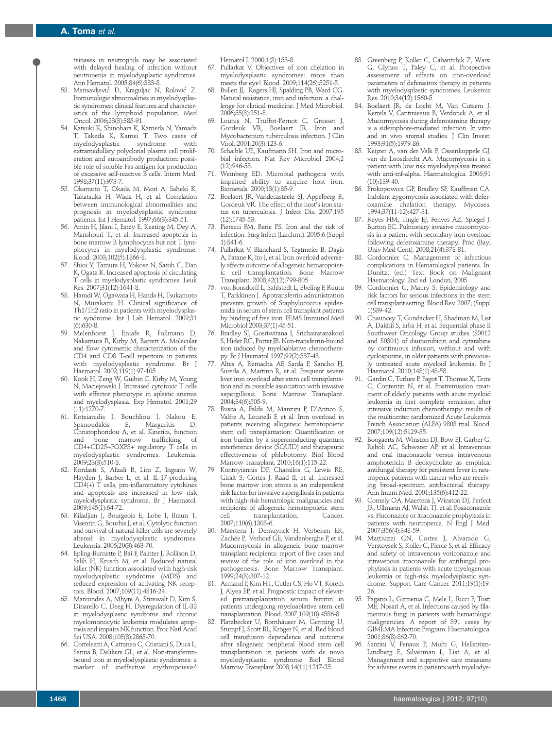teinases in neutrophils may be associated with delayed healing of infection without neutropenia in myelodysplastic syndromes. Ann Hematol. 2005;84(6):383-8.

- 53. Marisavljevic' D, Kraguljac N, Rolovic' Z. Immunologic abnormalities in myelodysplastic syndromes: clinical features and characteristics of the lymphoid population. Med Oncol. 2006;23(3):385-91.
- 54. Katsuki K, Shinohara K, Kameda N, Yamada T, Takeda K, Kamei T. Two cases of myelodysplastic extramedullary polyclonal plasma cell proliferation and autoantibody production: possible role of soluble Fas antigen for production of excessive self-reactive B cells. Intern Med. 1998;37(11):973-7.
- 55. Okamoto T, Okada M, Mori A, Saheki K, Takatsuka H, Wada H, et al. Correlation between immunological abnormalities and prognosis in myelodysplastic syndrome patients. Int J Hematol. 1997;66(3):345-51.
- 56. Amin H, Jilani I, Estey E, Keating M, Dey A, Manshouri T, et al. Increased apoptosis in bone marrow B lymphocytes but not T lymphocytes in myelodysplastic syndrome. Blood. 2003;102(5):1866-8.
- 57. Shioi Y, Tamura H, Yokose N, Satoh C, Dan K, Ogata K. Increased apoptosis of circulating  $\mathsf T$  cells in myelodysplastic syndromes. Leuk Res. 2007;31(12):1641-8.
- 58. Hamdi W, Ogawara H, Handa H, Tsukamoto N, Murakami H. Clinical significance of Th1/Th2 ratio in patients with myelodysplastic syndrome. Int J Lab Hematol. 2009;31  $(6):630-8.$
- 59. Melenhorst J, Eniafe R, Follmann D, Nakamura R, Kirby M, Barrett A. Molecular and flow cytometric characterization of the CD4 and CD8 T-cell repertoire in patients with myelodysplastic syndrome. Br J Haematol. 2002;119(1):97-105.
- 60. Kook H, Zeng W, Guibin C, Kirby M, Young N, Maciejewski J. Increased cytotoxic T cells with effector phenotype in aplastic anemia and myelodysplasia. Exp Hematol. 2001;29 (11):1270-7.
- 61. Kotsianidis I, Bouchliou I, Nakou E, Margaritis Christophoridou A, et al. Kinetics, function bone marrow trafficking of CD4+CD25+FOXP3+ regulatory T cells in myelodysplastic syndromes. Leukemia. 2009;23(3):510-8.
- 62. Kordasti S, Afzali B, Lim Z, Ingram W, Hayden J, Barber L, et al. IL-17-producing CD4(+) T cells, pro-inflammatory cytokines and apoptosis are increased in low risk myelodysplastic syndrome. Br J Haematol. 2009;145(1):64-72.
- 63. Kiladjian J, Bourgeois E, Lobe I, Braun T, Visentin G, Bourhis J, et al. Cytolytic function and survival of natural killer cells are severely altered in myelodysplastic syndromes. Leukemia. 2006;20(3):463-70.
- 64. Epling-Burnette P, Bai F, Painter J, Rollison D, Salih H, Krusch M, et al. Reduced natural killer (NK) function associated with high-risk myelodysplastic syndrome (MDS) and reduced expression of activating NK receptors. Blood. 2007;109(11):4816-24.
- 65. Marcondes A, Mhyre A, Stirewalt D, Kim S, Dinarello C, Deeg H. Dysregulation of IL-32 in myelodysplastic syndrome and chronic myelomonocytic leukemia modulates apoptosis and impairs NK function. Proc Natl Acad Sci USA. 2008;105(8):2865-70.
- 66. Cortelezzi A, Cattaneo C, Cristiani S, Duca L, Sarina B, Deliliers GL, et al. Non-transferrinbound iron in myelodysplastic syndromes: a marker of ineffective erythropoiesis?

Hematol J. 2000;1(3):153-8.

- 67. Pullarkat V. Objectives of iron chelation in myelodysplastic syndromes: more than meets the eye? Blood. 2009;114(26):5251-5.
- 68. Bullen JJ, Rogers HJ, Spalding PB, Ward CG. Natural resistance, iron and infection: a challenge for clinical medicine. J Med Microbiol. 2006;55(3):251-8.
- 69. Lounis N, Truffot-Pernot C, Grosset J, Gordeuk VR, Boelaert JR. Iron and Mycobacterium tuberculosis infection. J Clin Virol. 2001;20(3):123-6.
- Schaible UE, Kaufmann SH. Iron and microbial infection. Nat Rev Microbiol 2004;2 (12):946-53.
- 71. Weinberg ED. Microbial pathogens with impaired ability to acquire host iron. Biometals. 2000;13(1):85-9.
- 72. Boelaert JR, Vandecasteele SJ, Appelberg R, Gordeuk VR. The effect of the host's iron status on tuberculosis. J Infect Dis. 2007;195 (12):1745-53.
- 73. Pieracci FM, Barie PS. Iron and the risk of infection. Surg Infect (Larchmt). 2005;6 (Suppl 1):S41-6.
- 74. Pullarkat V, Blanchard S, Tegtmeier B, Dagis A, Patane K, Ito J, et al. Iron overload adversely affects outcome of allogeneic hematopoietic cell transplantation. Bone Marrow Transplant. 2008;42(12):799-805.
- 75. von Bonsdorff L, Sahlstedt L, Ebeling F, Ruutu T, Parkkinen J. Apotransferrin administration prevents growth of Staphylococcus epidermidis in serum of stem cell transplant patients by binding of free iron. FEMS Immunol Med Microbiol 2003;37(1):45-51.
- 76. Bradley SJ, Gosriwitana I, Srichairatanakool S, Hider RC, Porter JB. Non-transferrin-bound iron induced by myeloablative chemotherapy. Br J Haematol 1997;99(2):337-43.
- Altes A, Remacha AF, Sarda P, Sancho FJ, Sureda A, Martino R, et al. Frequent severe liver iron overload after stem cell transplantation and its possible association with invasive aspergillosis. Bone Marrow Transplant. 2004;34(6):505-9.
- 78. Busca A, Falda M, Manzini P, D'Antico S, Valfre A, Locatelli F, et al. Iron overload in patients receiving allogeneic hematopoietic stem cell transplantation: Quantification or iron burden by a superconducting quantum interference device (SQUID) and therapeutic effectiveness of phlebotomy. Biol Blood Marrow Transplant. 2010;16(1):115-22.
- 79 Kontoyiannis DP, Chamilos G, Lewis RE, Giralt S, Cortes J, Raad II, et al. Increased bone marrow iron stores is an independent risk factor for invasive aspergillosis in patients with high-risk hematologic malignancies and recipients of allogeneic hematopoietic stem<br>cell transplantation Cancer transplantation. 2007;110(6):1303-6.
- 80. Maertens J, Demuynck H, Verbeken EK, Zachée P, Verhoef GE, Vandenberghe P, et al. Mucormycosis in allogeneic bone marrow transplant recipients: report of five cases and review of the role of iron overload in the pathogenesis. Bone Marrow Transplant. 1999;24(3):307-12.
- 81. Armand P, Kim HT, Cutler CS, Ho VT, Koreth J, Alyea EP, et al. Prognostic impact of elevated pretransplantation serum ferritin in patients undergoing myeloablative stem cell transplantation. Blood. 2007;109(10):4586-8.
- 82. Platzbecker U, Bornhäuser M, Germing U, Stumpf J, Scott BL, Kröger N, et al. Red blood cell transfusion dependence and outcome after allogeneic peripheral blood stem cell transplantation in patients with de novo myelodysplastic syndrome Biol Blood Marrow Transplant 2008;14(11):1217-25.
- 83. Greenberg P, Koller C, Cabantchik Z, Warsi G, Glynos T, Paley C, et al. Prospective assessment of effects on iron-overload parameters of deferasirox therapy in patients with myelodysplastic syndromes. Leukemia Res. 2010;34(12):1560-5.
- 84. Boelaert JR, de Locht M, Van Cutsem J, Kerrels V, Cantinieaux B, Verdonck A, et al. Mucormycosis during deferoxamine therapy is a siderophore-mediated infection. In vitro and in vivo animal studies. J Clin Invest. 1993;91(5):1979-86.
- 85. Keijzer A, van der Valk P, Ossenkoppele GJ, van de Loosdrecht AA. Mucormycosis in a patient with low risk myelodysplasia treated with anti-tnf-alpha. Haematologica. 2006;91 (10):139-40.
- Prokopowicz GP, Bradley SF, Kauffman CA. Indolent zygomycosis associated with deferoxamine chelation therapy. Mycoses. 1994;37(11-12):427-31.
- 87. Reyes HM, Tingle EJ, Fenves AZ, Spiegel J, Burton EC. Pulmonary invasive mucormycosis in a patient with secondary iron overload following deferoxamine therapy. Proc (Bayl Univ Med Cent). 2008;21(4):378-81.
- 88. Cordonnier C. Management of infectious complications in Hematological patients. In: Dunitz, (ed.) Text Book on Malignant Haematology. 2nd ed. London, 2005.
- 89. Cordonnier C, Maury S. Epidemiology and risk factors for serious infections in the stem cell transplant setting. Blood Rev. 2007; (Suppl 1)S39-42.
- 90. Chauncey T, Gundacker H, Shadman M, List A, Dakhil S, Erba H, et al. Sequential phase II Southwest Oncology Group studies (S0012 and S0301) of daunorubicin and cytarabine by continuous infusion, without and with cyclosporine, in older patients with previously untreated acute myeloid leukemia. Br J Haematol. 2010;148(1):48-58.
- Gardin C, Turlure P, Fagot T, Thomas X, Terre C, Contentin N, et al. Postremission treatment of elderly patients with acute myeloid leukemia in first complete remission after intensive induction chemotherapy: results of the multicenter randomized Acute Leukemia French Association (ALFA) 9803 trial. Blood. 2007;109(12):5129-35.
- 92. Boogaerts M, Winston DJ, Bow EJ, Garber G, Reboli AC, Schwarer AP, et al. Intravenous and oral itraconazole versus intravenous amphotericin B deoxycholate as empirical antifungal therapy for persistent fever in neutropenic patients with cancer who are receiving broad-spectrum antibacterial therapy. Ann Intern Med. 2001;135(6):412-22.
- 93. Cornely OA, Maertens J, Winston DJ, Perfect JR, Ullmann AJ, Walsh TJ, et al. Posaconazole vs. Fluconazole or Itraconazole prophylaxis in patients with neutropenia. N Engl J Med. 2007;356(4):348-59.
- 94. Mattiuzzi GN, Cortes J, Alvarado G, Verstovsek S, Koller C, Pierce S, et al. Efficacy and safety of intravenous voriconazole and intravenous itraconazole for antifungal prophylaxis in patients with acute myelogenous leukemia or high-risk myelodysplastic syndrome. Support Care Cancer. 2011;19(1):19- 26.
- 95. Pagano L, Girmenia C, Mele L, Ricci P, Tosti ME, Nosari A, et al. Infections caused by filamentous fungi in patients with hematologic malignancies. A report of 391 cases by GIMEMA Infection Program. Haematologica. 2001;86(8):862-70.
- 96. Santini V, Fenaux P, Mufti G, Hellström-Lindberg E, Silverman L, List A, et al. Management and supportive care measures for adverse events in patients with myelodys-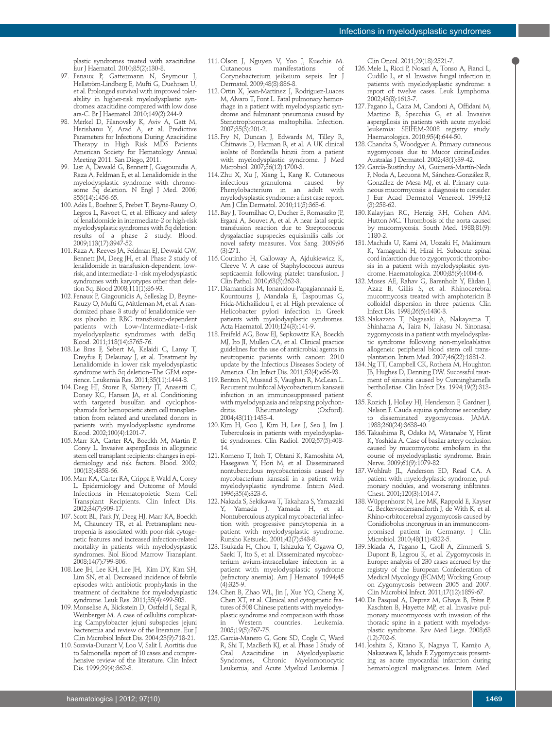plastic syndromes treated with azacitidine. Eur J Haematol. 2010;85(2):130-8.

- 97. Fenaux P, Gattermann N, Seymour J, Hellström-Lindberg E, Mufti G, Duehrsen U, et al. Prolonged survival with improved tolerability in higher-risk myelodysplastic syndromes: azacitidine compared with low dose ara-C. Br J Haematol. 2010;149(2):244-9.
- 98. Merkel D, Filanovsky K, Aviv A, Gatt M, Herishanu Y, Arad A, et al. Predictive Parameters for Infections During Azacitidine Therapy in High Risk MDS Patients American Society for Hematology Annual Meeting 2011. San Diego, 2011.
- 99. List A, Dewald G, Bennett J, Giagounidis A, Raza A, Feldman E, et al. Lenalidomide in the myelodysplastic syndrome with chromosome 5q deletion. N Engl J Med. 2006; 355(14):1456-65.
- 100. Adès L, Boehrer S, Prebet T, Beyne-Rauzy O, Legros L, Ravoet C, et al. Efficacy and safety of lenalidomide in intermediate-2 or high-risk myelodysplastic syndromes with 5q deletion: results of a phase 2 study. Blood. 2009;113(17):3947-52.
- 101.Raza A, Reeves JA, Feldman EJ, Dewald GW, Bennett JM, Deeg JH, et al. Phase 2 study of lenalidomide in transfusion-dependent, lowrisk, and intermediate-1 -risk myelodysplastic syndromes with karyotypes other than deletion 5q. Blood 2008;111(1):86-93.
- 102. Fenaux P, Giagounidis A, Selleslag D, Beyne-Rauzy O, Mufti G, Mittleman M, et al. A randomized phase 3 study of lenalidomide versus placebo in RBC transfusion-dependent patients with Low-/Intermediate-1-risk myelodysplastic syndromes with del5q. Blood. 2011;118(14):3765-76.
- 103. Le Bras F, Sebert M, Kelaidi C, Lamy T, Dreyfus F, Delaunay J, et al. Treatment by Lenalidomide in lower risk myelodysplastic syndrome with 5q deletion–The GFM experience. Leukemia Res. 2011;35(11):1444-8.
- 104.Deeg HJ, Storer B, Slattery JT, Anasetti C, Doney KC, Hansen JA, et al. Conditioning with targeted busulfan and cyclophosphamide for hemopoietic stem cell transplantation from related and unrelated donors in patients with myelodysplastic syndrome. Blood. 2002;100(4):1201-7.
- 105.Marr KA, Carter RA, Boeckh M, Martin P, Corey L. Invasive aspergillosis in allogeneic stem cell transplant recipients: changes in epidemiology and risk factors. Blood. 2002; 100(13):4358-66.
- 106.Marr KA, Carter RA, Crippa F, Wald A, Corey L. Epidemiology and Outcome of Mould Infections in Hematopoietic Stem Cell Transplant Recipients. Clin Infect Dis. 2002;34(7):909-17.
- 107. Scott BL, Park JY, Deeg HJ, Marr KA, Boeckh M, Chauncey TR, et al. Pretransplant neutropenia is associated with poor-risk cytogenetic features and increased infection-related mortality in patients with myelodysplastic syndromes. Biol Blood Marrow Transplant. 2008;14(7):799-806.
- 108. Lee JH, Lee KH, Lee JH, Kim DY, Kim SH, Lim SN, et al. Decreased incidence of febrile episodes with antibiotic prophylaxis in the treatment of decitabine for myelodysplastic syndrome. Leuk Res. 2011;35(4):499-503.
- 109.Monselise A, Blickstein D, Ostfeld I, Segal R, Weinberger M. A case of cellulitis complicating Campylobacter jejuni subspecies jejuni bacteremia and review of the literature. Eur J Clin Microbiol Infect Dis. 2004;23(9):718-21.
- 110. Soravia-Dunant V, Loo V, Salit I. Aortitis due to Salmonella: report of 10 cases and comprehensive review of the literature. Clin Infect Dis. 1999;29(4):862-8.
- 111. Olson J, Nguyen V, Yoo J, Kuechie M. Cutaneous manifestations of Corynebacterium jeikeium sepsis. Int J Dermatol. 2009;48(8):886-8.
- 112. Ortin X, Jean-Martinez J, Rodriguez-Luaces M, Alvaro T, Font L. Fatal pulmonary hemorrhage in a patient with myelodysplastic syndrome and fulminant pneumonia caused by Stenotrophomonas maltophilia. Infection. 2007;35(3):201-2.
- 113. Fry N, Duncan J, Edwards M, Tilley R, Chitnavis D, Harman R, et al. A UK clinical isolate of Bordetella hinzii from a patient with myelodysplastic syndrome. J Med Microbiol. 2007;56(12):1700-3.
- 114.Zhu X, Xu J, Xiang L, Kang K. Cutaneous infectious granuloma caused by<br>Phenylobacterium in an adult with Phenylobacterium in an adult myelodysplastic syndrome: a first case report. Am J Clin Dermatol. 2010;11(5):363-6.
- 115.Bay J, Tournilhac O, Ducher E, Romaszko JP, Ergani A, Bouvet A, et al. A near fatal septic transfusion reaction due to Streptococcus dysgalactiae supspecies equisimilis calls for novel safety measures. Vox Sang. 2009;96 (3):271.
- 116.Coutinho H, Galloway A, Ajdukiewicz K, Cleeve V. A case of Staphylococcus aureus septicaemia following platelet transfusion. J Clin Pathol. 2010;63(3):262-3.
- 117.Diamantidis M, Ionanidou-Papagiannnaki E, Kountouras J, Mandala E, Taspournas G, Frida-Michailidou I, et al. High prevalence of Helicobacter pylori infection in Greek patients with myelodysplastic syndromes. Acta Haematol. 2010;124(3):141-9.
- 118. Freifeld AG, Bow EJ, Sepkowitz KA, Boeckh MJ, Ito JI, Mullen CA, et al. Clinical practice guidelines for the use of antiicrobial agents in neutropenic patients with cancer: 2010 update by the Infectious Diseases Society of America. Clin Infect Dis. 2011;52(4):e56-93.
- 119.Benton N, Musaad S, Vaughan R, McLean L. Recurrent multifocal Mycobacterium kansasii infection in an immunosuppressed patient with myelodysplasia and relapsing polychon-Kheumatology 2004;43(11):1453-4.
- 120.Kim H, Goo J, Kim H, Lee J, Seo J, Im J. Tuberculosis in patients with myelodysplastic syndromes. Clin Radiol. 2002;57(5):408- 14.
- 121.Komeno T, Itoh T, Ohtani K, Kamoshita M, Hasegawa Y, Hori M, et al. Disseminated nontuberculous mycobacteriosis caused by mycobacterium kansasii in a patient with myelodysplastic syndrome. Intern Med. 1996;35(4):323-6.
- 122.Nakada S, Sekikawa T, Takahara S, Yamazaki Y, Yamada J, Yamada H, et al. Nontuberculous atypical mycobacterial infection with progressive pancytopenia in a patient with myelodysplastic syndrome. Runsho Ketsueki. 2001;42(7):543-8.
- 123.Tsukada H, Chou T, Ishizuka Y, Ogawa O, Saeki T, Ito S, et al. Disseminated mycobacterium avium-intracellulare infection in a patient with myelodysplastic syndrome (refractory anemia). Am J Hematol. 1994;45 (4):325-9.
- 124.Chen B, Zhao WL, Jin J, Xue YQ, Cheng X, Chen XT, et al. Clinical and cytogenetic features of 508 Chinese patients with myelodysplastic syndrome and comparison with those in Western countries. Leukemia. 2005;19(5):767-75.
- 125.Garcia-Manero G, Gore SD, Cogle C, Ward R, Shi T, MacBeth KJ, et al. Phase I Study of Oral Azacitidine in Myelodysplastic Syndromes, Chronic Myelomonocytic Leukemia, and Acute Myeloid Leukemia. J

Clin Oncol. 2011;29(18):2521-7.

- 126.Mele L, Ricci P, Nosari A, Tonso A, Fianci L, Cudillo L, et al. Invasive fungal infection in patients with myelodysplastic syndrome: a report of twelve cases. Leuk Lymphoma. 2002;43(8):1613-7.
- 127. Pagano L, Caira M, Candoni A, Offidani M, Martino B, Specchia G, et al. Invasive aspergillosis in patients with acute myeloid leukemia: SEIFEM-2008 registry study. Haematologica. 2010;95(4):644-50.
- 128.Chandra S, Woodgyer A. Primary cutaneous zygomycosis due to Mucor circinelloides. Australas J Dermatol. 2002;43(1):39-42.
- 129.García-Bustínduy M, Guimerá-Martín-Neda F, Noda A, Lecuona M, Sánchez-González R, González de Mesa MJ, et al. Primary cutaneous mucormycosis: a diagnosis to consider. J Eur Acad Dermatol Venereol. 1999;12  $(3) \cdot 258 - 62$
- 130.Kalayjian RC, Herzig RH, Cohen AM, Hutton MC. Thrombosis of the aorta caused by mucormycosis. South Med. 1988;81(9): 1180-2.
- 131.Machida U, Kami M, Uozaki H, Makimura K, Yamaguchi H, Hirai H. Subacute spinal cord infarction due to zygomycotic thrombosis in a patient with myelodysplastic syndrome. Haematologica. 2000;85(9):1004-6.
- 132.Moses AE, Rahav G, Barenholz Y, Elidan J, Azaz B, Gillis S, et al. Rhinocerebral mucormycosis treated with amphotericin B colloidal dispersion in three patients. Clin Infect Dis. 1998;26(6):1430-3.
- 133.Nakazato T, Nagasaki A, Nakayama T, Shinhama A, Taira N, Takasu N. Sinonasal zygomycosis in a patient with myelodysplastic syndrome following non-myeloablative allogeneic peripheral blood stem cell transplantation. Intern Med. 2007;46(22):1881-2.
- 134.Ng TT, Campbell CK, Rothera M, Houghton JB, Hughes D, Denning DW. Successful treatment of sinusitis caused by Cunninghamella bertholletiae. Clin Infect Dis. 1994;19(2):313- 6.
- 135.Rozich J, Holley HJ, Henderson F, Gardner J, Nelson F. Cauda equina syndrome secondary to disseminated zygomycosis. JAMA. 1988;260(24):3638-40.
- 136.Takashima R, Odaka M, Watanabe Y, Hirat K, Yoshida A. Case of basilar artery occlusion caused by mucormycotic embolism in the course of myelodysplastic syndrome. Brain Nerve. 2009;61(9):1079-82.
- 137.Wohlrab JL, Anderson ED, Read CA. A patient with myelodyplastic syndrome, pulmonary nodules, and worsening infiltrates. Chest. 2001;120(3):1014-7.
- 138.Wüppenhorst N, Lee MK, Rappold E, Kayser G, Beckervordersandforth J, de With K, et al. Rhino-orbitocerebral zygomycosis caused by Conidiobolus incongruus in an immunocompromised patient in Germany. J Clin Microbiol. 2010;48(11):4322-5.
- 139. Skiada A, Pagano L, Groll A, Zimmerli S, Dupont B, Lagrou K, et al. Zygomycosis in Europe: analysis of 230 cases accrued by the registry of the European Confederation of Medical Mycology (ECMM) Working Group on Zygomycosis between 2005 and 2007. Clin Microbiol Infect. 2011;17(12):1859-67.
- 140.De Pasqual A, Deprez M, Ghaye B, Frère P, Kaschten B, Hayette MP, et al. Invasive pulmonary mucormycosis with invasion of the thoracic spine in a patient with myelodysplastic syndrome. Rev Med Liege. 2008;63 (12):702-6.
- 141.Joshita S, Kitano K, Nagaya T, Kamijo A, Nakazawa K, Ishida F. Zygomycosis presenting as acute myocardial infarction during hematological malignancies. Intern Med.